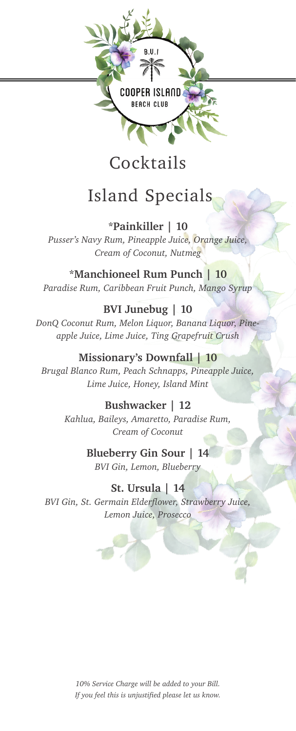

## Cocktails

# Island Specials

**\*Painkiller | 10** *Pusser's Navy Rum, Pineapple Juice, Orange Juice, Cream of Coconut, Nutmeg*

**\*Manchioneel Rum Punch | 10** *Paradise Rum, Caribbean Fruit Punch, Mango Syrup*

### **BVI Junebug | 10**

*DonQ Coconut Rum, Melon Liquor, Banana Liquor, Pineapple Juice, Lime Juice, Ting Grapefruit Crush*

### **Missionary's Downfall | 10**

*Brugal Blanco Rum, Peach Schnapps, Pineapple Juice, Lime Juice, Honey, Island Mint*

> **Bushwacker | 12** *Kahlua, Baileys, Amaretto, Paradise Rum, Cream of Coconut*

> > **Blueberry Gin Sour | 14**

*BVI Gin, Lemon, Blueberry*

**St. Ursula | 14**

*BVI Gin, St. Germain Elderflower, Strawberry Juice, Lemon Juice, Prosecco*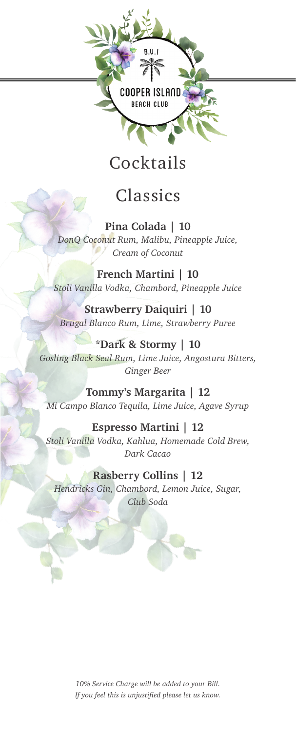

## Cocktails

## Classics

**Pina Colada | 10** *DonQ Coconut Rum, Malibu, Pineapple Juice, Cream of Coconut*

**French Martini | 10** *Stoli Vanilla Vodka, Chambord, Pineapple Juice*

**Strawberry Daiquiri | 10** *Brugal Blanco Rum, Lime, Strawberry Puree*

**\*Dark & Stormy | 10** *Gosling Black Seal Rum, Lime Juice, Angostura Bitters, Ginger Beer*

**Tommy's Margarita | 12** *Mi Campo Blanco Tequila, Lime Juice, Agave Syrup*

**Espresso Martini | 12** *Stoli Vanilla Vodka, Kahlua, Homemade Cold Brew, Dark Cacao*

**Rasberry Collins | 12** *Hendricks Gin, Chambord, Lemon Juice, Sugar, Club Soda*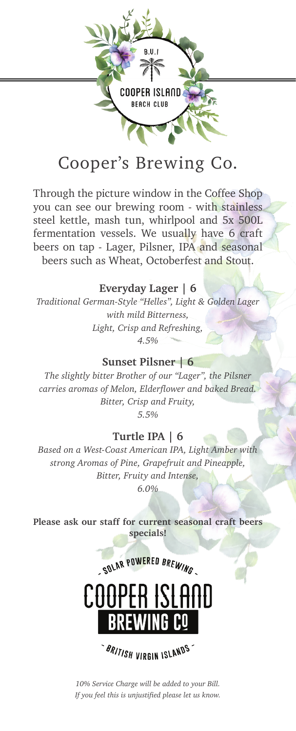

## Cooper's Brewing Co.

Through the picture window in the Coffee Shop you can see our brewing room - with stainless steel kettle, mash tun, whirlpool and 5x 500L fermentation vessels. We usually have 6 craft beers on tap - Lager, Pilsner, IPA and seasonal beers such as Wheat, Octoberfest and Stout.

#### **Everyday Lager | 6**

*Traditional German-Style "Helles", Light & Golden Lager with mild Bitterness, Light, Crisp and Refreshing, 4.5%* 

#### **Sunset Pilsner | 6**

*The slightly bitter Brother of our "Lager", the Pilsner carries aromas of Melon, Elderflower and baked Bread. Bitter, Crisp and Fruity, 5.5%*

#### **Turtle IPA | 6**

*Based on a West-Coast American IPA, Light Amber with strong Aromas of Pine, Grapefruit and Pineapple, Bitter, Fruity and Intense, 6.0%*

**Please ask our staff for current seasonal craft beers specials!**



**BRITISH VIRGIN ISLANDS**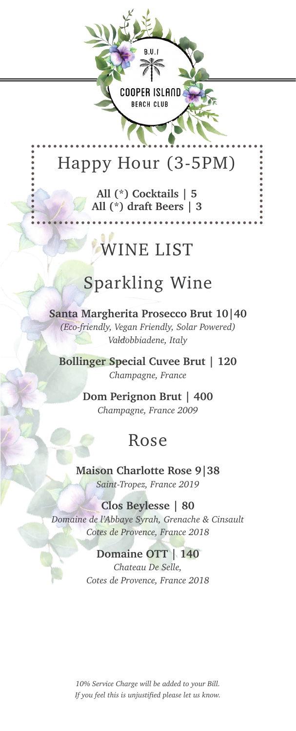# Happy Hour (3-5PM)

**COOPER ISLAND BEACH CLUB** 

**All (\*) Cocktails | 5 All (\*) draft Beers | 3**

# WINE LIST

### Sparkling Wine

**Santa Margherita Prosecco Brut 10|40** *(Eco-friendly, Vegan Friendly, Solar Powered) Valdobbiadene, Italy* 

**Bollinger Special Cuvee Brut | 120** *Champagne, France* 

> **Dom Perignon Brut | 400** *Champagne, France 2009*

### Rose

**Maison Charlotte Rose 9|38** *Saint-Tropez, France 2019*

**Clos Beylesse | 80** *Domaine de l'Abbaye Syrah, Grenache & Cinsault Cotes de Provence, France 2018*

#### **Domaine OTT | 140**

*Chateau De Selle, Cotes de Provence, France 2018*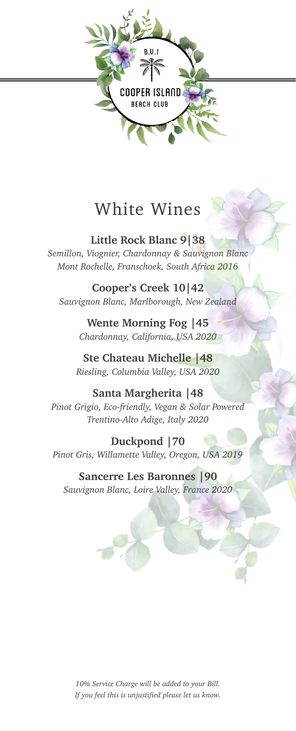

## White Wines

**Little Rock Blanc 9|38** *Semillon, Viognier, Chardonnay & Sauvignon Blanc Mont Rochelle, Franschoek, South Africa 2016*

**Cooper's Creek 10|42** *Sauvignon Blanc, Marlborough, New Zealand*

> **Wente Morning Fog |45** *Chardonnay, California, USA 2020*

**Ste Chateau Michelle |48** *Riesling, Columbia Valley, USA 2020*

**Santa Margherita |48** *Pinot Grigio, Eco-friendly, Vegan & Solar Powered Trentino-Alto Adige, Italy 2020*

**Duckpond |70** *Pinot Gris, Willamette Valley, Oregon, USA 2019*

**Sancerre Les Baronnes |90** *Sauvignon Blanc, Loire Valley, France 2020*